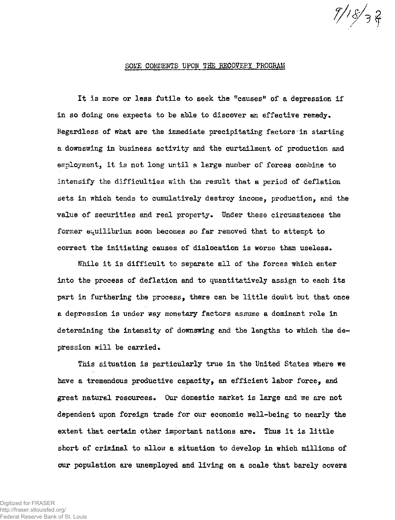## SOME COMMENTS UPON THE RECOVERY PROGRAM

*T/> /* 

**It is more or less futile to seek the "causes<sup>11</sup> of a depression if**  in so doing one expects to be able to discover an effective remedy. **Regardless of what are the immediate precipitating factors in starting a downswing in business activity and the curtailment of production and employment, it is not long until a large number of forces combine to intensify the difficulties with the result that a period of deflation sets in which tends to cumulatively destroy income, production, and the**  value of securities and real property. Under these circumstances the **former equilibrium soon becomes so far removed that to attempt to correct the initiating causes of dislocation is worse than useless.** 

**While it is difficult to separate all of the forces which enter into the process of deflation and to quantitatively assign to each its part in furthering the process, there can be little doubt but that once a depression is under way monetary factors assume a dominant role in determining the intensity of downswing and the lengths to which the de**pression will be carried.

**This situation is particularly true in the United States where we have a tremendous productive capacity, an efficient labor force, and great natural resources\* Our domestic market is large and we are not dependent upon foreign trade for our economic well-being to nearly the extent that certain other important nations are\* Thus it is little short of criminal to allow a situation to develop in which millions of our population are unemployed and living on a scale that barely covers**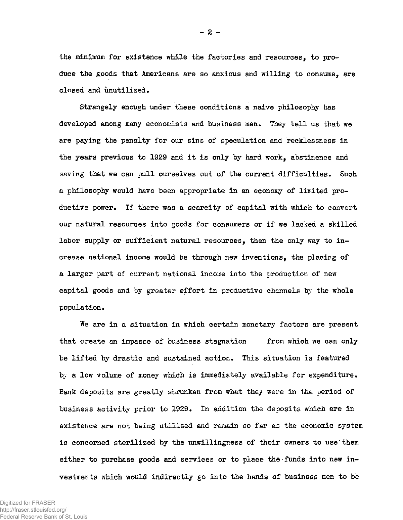**the minimum for existence while the factories and resources, to produce the goods that Americans are so anxious and willing to consume, are closed and unutilized.** 

**Strangely enough under these conditions a naive philosophy has developed among many economists and business men. They tell us that we are paying the penalty for our sins of speculation and recklessness in the years previous to 1929 and it is only by hard work, abstinence and saving that we can pull ourselves out of the current difficulties. Such a philosophy would have been appropriate in an economy of limited productive power. If there was a scarcity of capital with which to convert our natural resources into goods for consumers or if we lacked a skilled labor supply or sufficient natural resources, then the only way to increase national income would be through new inventions, the placing of a larger part of current national income into the production of new capital goods and by greater effort in productive channels by the whole population.** 

**We are in a situation in which certain monetary factors are present that create an impasse of business stagnation from which we can only be lifted by drastic and sustained action. This situation is featured by a low volume of money which is immediately available for expenditure. Bank deposits are greatly shrunken from what they were in the period of business activity prior to 1929. In addition the deposits which are in existence are not being utilized and remain so far as the economic system**  is concerned sterilized by the unwillingness of their owners to use them **either to purchase goods and services or to place the funds into new investments which would indirectly go into the hands of business men to be** 

 $- 2 -$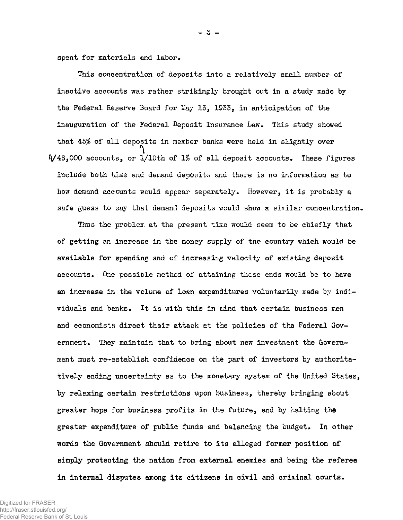**spent for materials and labor.** 

**This concentration of deposits into a relatively small number of inactive accounts was rather strikingly brought out in a study made by the Federal Reserve Board for fey 13, 1933, in anticipation of the inauguration of the Federal Deposit Insurance Law. This study showed that 45% of all deposits in member banks were held in slightly over V46,000 accounts, or l/lOth of** *1%* **of all deposit accounts. These figures include both time and demand deposits and there is no information as to how demand accounts would appear separately. However, it is probably a safe guess to say that demand deposits would show a similar concentration.** 

**Thus the problem at the present time would seem to be chiefly that**  of getting an increase in the money supply of the country which would be **available for spending and of increasing velocity of existing deposit accounts. One possible method of attaining these ends would be to have an increase in the volume of loan expenditures voluntarily made by individuals and banks. It is with this in mind that certain business men and economists direct their attack at the policies of the Federal Government. They maintain that to bring about new investment the Government must re-establish confidence on the part of investors by authoritatively ending uncertainty as to the monetary system of the United States, by relaxing certain restrictions upon business, thereby bringing about greater hope for business profits in the future, and by halting the**  greater expenditure of public funds and balancing the budget. In other **words the Government should retire to its alleged former position of simply protecting the nation from external enemies and being the referee in internal disputes among its citizens in civil and criminal courts.** 

- 3 -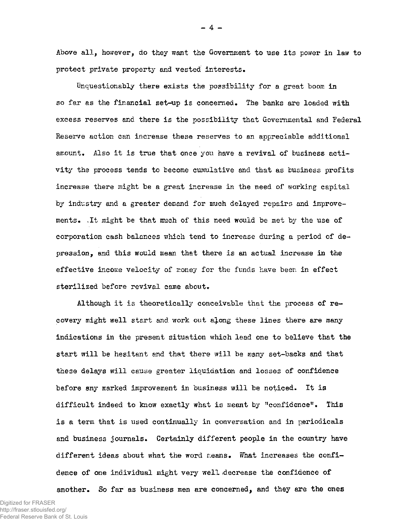**Above all, however, do they want the Government to use its power in law to protect private property and vested interests.** 

**Unquestionably there exists the possibility for a great boom in so far as the financial set-up is concerned. The banks are loaded with excess reserves and there is the possibility that Governmental and Federal Reserve action can increase these reserves to an appreciable additional amount. Also it is true that once you have a revival of business activity the process tends to become cumulative and that as business profits increase there might be a great increase in the need of working capital by industry and a greater demand for much delayed repairs and improvements. .It might be that much of this need would be met by the use of corporation cash balances which tend to increase during a period of depression, and this would mean that there is an actual increase in the effective income velocity of money for the funds have been in effect sterilized before revival came about.** 

**Although it is theoretically conceivable that the process of recovery might well start and work out along these lines there are many indications in the present situation which lead one to believe that the start will be hesitant and that there will be many set-backs and that these delays will cause greater liquidation and losses of confidence before any marked improvement in business will be noticed. It is difficult indeed to know exactly what is meant by "confidence". This is a term that is used continually in conversation and in periodicals and business journals. Certainly different people in the country have**  different ideas about what the word means. What increases the confi**dence of one individual might very well .decrease the confidence of another. So far as business men are concerned, and they are the ones**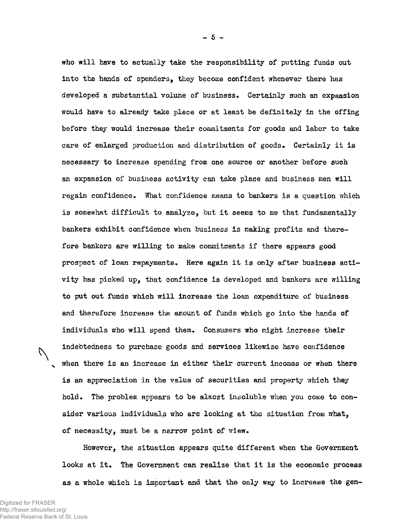**who will have to actually take the responsibility of putting funds out into the hands of spenders, they become confident whenever there has developed a substantial volume of business» Certainly such an expansion would have to already take place or at least be definitely in the offing before they would increase their commitments for goods and labor to take care of enlarged production and distribution of goods. Certainly it is necessary to increase spending from one source or another before such an expansion of business activity can take place and business men will regain confidence. What confidence means to bankers is a question which is somewhat difficult to analyze, but it seems to me that fundamentally bankers exhibit confidence when business is making profits and therefore bankers are willing to make commitments if there appears good prospect of loan repayments. Here again it is only after business activity has picked up, that confidence is developed and bankers are willing to put out funds which will increase the loan expenditure of business and therefore increase the amount of funds which go into the hands of individuals who will spend them. Consumers who might increase their indebtedness to purchase goods and services likewise have confidence <sup>N</sup> when there is an increase in either their current incomes or when there is an appreciation in the value of securities and property which they hold. The problem appears to be almost insoluble when you come to consider various individuals who are looking at the situation from what, of necessity, must be a narrow point of view.** 

**However, the situation appears quite different when the Government**  looks at it. The Government can realize that it is the economic process **as a whole which is important and that the only way to increase the gen-**

U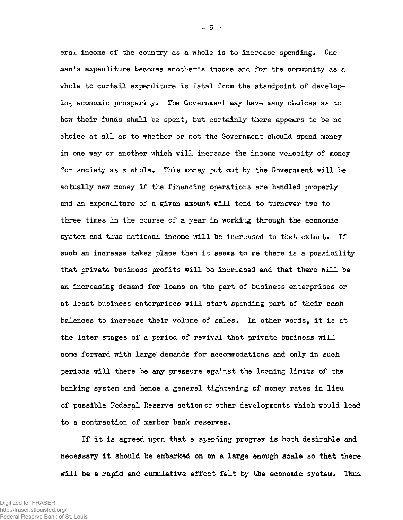eral income of the country as a whole is to increase spending. One **man<sup>f</sup>s expenditure becomes another's income and for the community as a whole to curtail expenditure is fatal from the standpoint of develop**ing economic prosperity. The Government may have many choices as to **how their funds shall be spent, but certainly there appears to be no choice at all as to whether or not the Government should spend money in one way or another which will increase the income velocity of money for society as a whole. This money put out by the Government will be actually new money if the financing operations are handled properly and an expenditure of a given amount will tend to turnover two to three times in the course of a year in working through the economic system and thus national income will be increased to that extent. If such an increase takes place then it seems to me there is a possibility that private business profits will be increased and that there will be an increasing demand for loans on the part of business enterprises or at least business enterprises will start spending part of their cash balances to increase their volume of sales. In other words, it is at the later stages of a period of revival that private business will come forward with large demands for accommodations and only in such periods will there be any pressure against the loaning limits of the banking system and hence a general tightening of money rates in lieu of possible Federal Reserve action or other developments which would lead to a contraction of member bank reserves.** 

**If it is agreed upon that a spending program is both desirable and necessary it should be embarked on on a large enough scale so that there will be a rapid and cumulative effect felt by the economic system. Thus**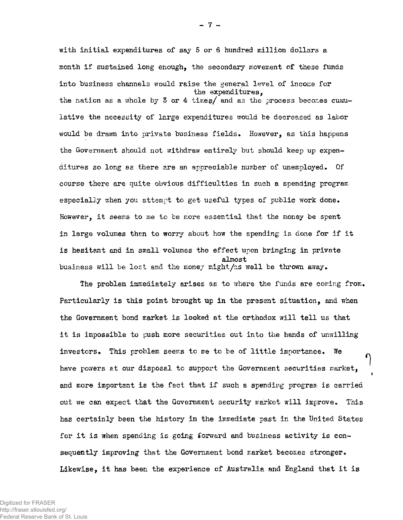**with initial expenditures of say 5 or 6 hundred million dollars a month if sustained long enough, the secondary movement of these funds**  into business channels would raise the general level of income for the expenditures,<br>the nation as a whole by 3 or 4 times/ and as the process becomes cumu**the nation as a whole by 3 or 4 time?/ and as the process becoir.es cumu**lative the necessity of large expenditures would be decreased as labor **lative the necessity of large expenditures would be decreased as labor**  would be drawn into private business fields. However, as this happens **would be drawn into private business fields. However, as this happens**  the Government should not withdraw entirely but should keep up expen**the Government should not withdraw entirely but should keep up expen**ditures so long as there are an appreciable number of unemployed. Of **ditures so long as there are an appreciable number of unemployed. Of**  course there are quite obvious difficulties in such a spending program **course there are quite obvious difficulties in such a spending program**  especially when you attempt to get useful types of public work done. However, it seems to me to be more essential that the money be spent **However, it seems to me to be more essential that the money be spent in large volumes then to worry about how the spending is done for if it**  is hesitant and in small volumes the effect upon bringing in private almost<br>business will be lost and the money might/as well be thrown away.

**business will be lost and the money might/as well be thrown away.** 

**The problem immediately arises as to where the funds are coming from.**  Particularly is this point brought up in the present situation, and when **Particularly is this point brought up in the present situation, and when**  the Government bond market is looked at the orthodox will tell us that **it is impossible to push more securities out into the hands of -unwilling**  investors. This problem seems to me to be of little importance. We **investors. This problem seems to me to be of little importance. We have powers at our dispose! to support the Government securities market,**  and more important is the fact that if such a spending program is carried **and more important is the fact that if such a spending program is carried**  out we can expect that the Government security market will improve. This **out we can expect that the Government security market will improve. This**  has certainly been the history in the immediate past in the United States **has certainly been the history in the immediate past in the United States**  for it is when spending is going forward and business activity is con**for it is when spending is going forward and business activity is con**sequently improving that the Government bond market becomes stronger. **sequently improving that the Government bond market becomes stronger.**  Likewise, it has been the experience of Australia and England that it is **Likewise, it has been the experience of Australia and England that it is** 

Digitized for FRASER http://fraser.stlouisfed.org/ Federal Reserve Bank of St. Louis  $-7 -$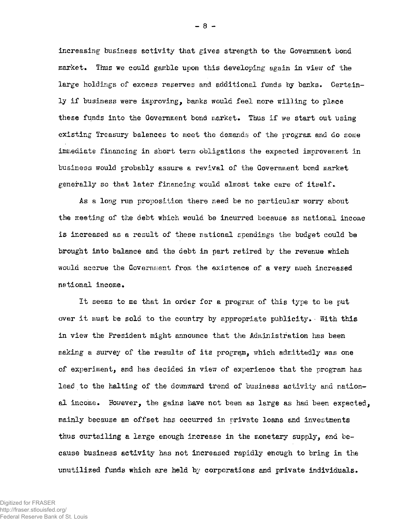**increasing business activity that gives strength to the Government bond**  market. Thus we could gamble upon this developing again in view of the **large holdings of excess reserves and additional funds by banks. Certainly if business were improving, banks would feel more willing to place these funds into the Government bond market. Thus if we start out using existing Treasury balances to meet the demands of the program and do some immediate financing in short term obligations the expected improvement in business would probably assure a revival of the Government bond market generally so that later financing would almost take care of itself.** 

**As a long run proposition there need be no particular worry about the meeting of the debt which would be incurred because as national income is increased as a result of these national spenaings the budget could be brought into balance and the debt in part retired by the revenue which would accrue the Government from the existence of a very much increased national income.** 

**It seems to me that in order for a program of this type to be put over it must be sold to the country by appropriate publicity. • With this in view the President might announce that the Administration has been making a survey of the results of its program, which admittedly was one of experiment, and has decided in view of experience that the program has lead to the halting of the downward trend of business activity and national income. However, the gains have not been as large as had been expected, mainly because an offset has occurred in private loans and investments thus curtailing a large enough increase in the monetary supply, end because business activity has not increased rapidly enough to bring in the unutilized funds which are held by corporations and private individuals.** 

Digitized for FRASER http://fraser.stlouisfed.org/ Federal Reserve Bank of St. Louis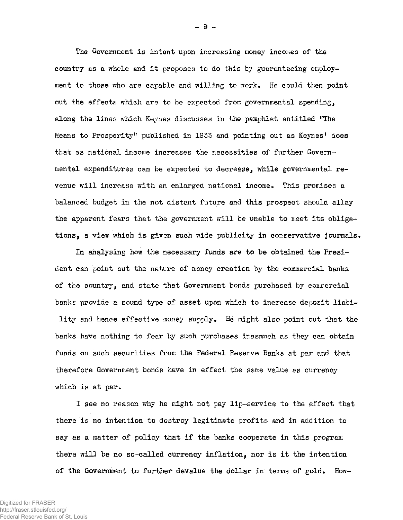**The Government is intent upon increasing money incomes of the country as a whole and it proposes to do this by guaranteeing employment to those who are capable and willing to work. He could then point out the effects which are to be expected from governmental spending, ©Jong the lines which Keynes discusses in the pamphlet entitled "The Means to Prosperity" published in 1933 and pointing out as Keynes<sup>1</sup> does that as national income increases the necessities of further Governmental expenditures can be expected to decrease, while governmental revenue will increase with an enlarged national income. This promises a balanced budget in the not distant future and this prospect should allay the apparent fears that the government will be unable to meet its obligations, a view which is given such wide publicity in conservative journals.** 

**In analysing how the necessary funds are to be obtained the President can point out the nature of money creation by the commercial banks of the country, and state that Government bonds purchased by commercial banks provide a sound type of asset upon which to increase deposit liability and hence effective money supply\* He might also point out that the banks have nothing to fear by such purchases inasmuch as they can obtain funds on such securities from the Federal Reserve Banks at par and that therefore Government bonds have in effect the same value as currency which is at par.** 

**I see no reason why he might not pay lip-service to the effect that there 'is no intention to destroy legitimate profits and in addition to say as a matter of policy that if the banks cooperate in this program there will be no so-called currency inflation, nor is it the intention of the Government to further devalue the dollar in terms of gold. How-**

 $-9 -$